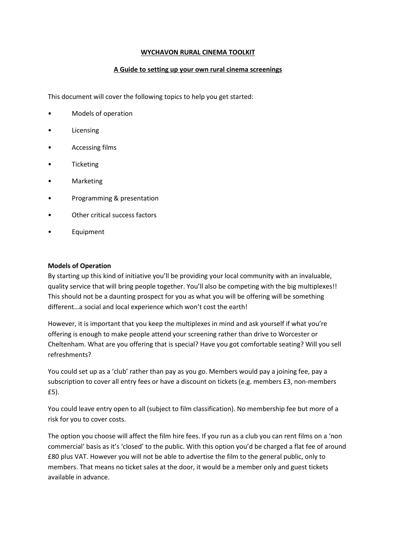#### **WYCHAVON RURAL CINEMA TOOLKIT**

## **A Guide to setting up your own rural cinema screenings**

This document will cover the following topics to help you get started:

- Models of operation
- **Licensing**
- Accessing films
- **Ticketing**
- **Marketing**
- Programming & presentation
- Other critical success factors
- **Equipment**

#### **Models of Operation**

By starting up this kind of initiative you'll be providing your local community with an invaluable, quality service that will bring people together. You'll also be competing with the big multiplexes!! This should not be a daunting prospect for you as what you will be offering will be something different…a social and local experience which won't cost the earth!

However, it is important that you keep the multiplexes in mind and ask yourself if what you're offering is enough to make people attend your screening rather than drive to Worcester or Cheltenham. What are you offering that is special? Have you got comfortable seating? Will you sell refreshments?

You could set up as a 'club' rather than pay as you go. Members would pay a joining fee, pay a subscription to cover all entry fees or have a discount on tickets (e.g. members £3, non-members £5).

You could leave entry open to all (subject to film classification). No membership fee but more of a risk for you to cover costs.

The option you choose will affect the film hire fees. If you run as a club you can rent films on a 'non commercial' basis as it's 'closed' to the public. With this option you'd be charged a flat fee of around £80 plus VAT. However you will not be able to advertise the film to the general public, only to members. That means no ticket sales at the door, it would be a member only and guest tickets available in advance.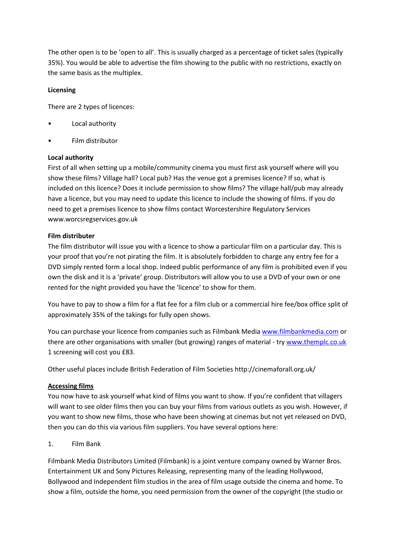The other open is to be 'open to all'. This is usually charged as a percentage of ticket sales (typically 35%). You would be able to advertise the film showing to the public with no restrictions, exactly on the same basis as the multiplex.

## **Licensing**

There are 2 types of licences:

- Local authority
- Film distributor

#### **Local authority**

First of all when setting up a mobile/community cinema you must first ask yourself where will you show these films? Village hall? Local pub? Has the venue got a premises licence? If so, what is included on this licence? Does it include permission to show films? The village hall/pub may already have a licence, but you may need to update this licence to include the showing of films. If you do need to get a premises licence to show films contact Worcestershire Regulatory Services www.worcsregservices.gov.uk

## **Film distributer**

The film distributor will issue you with a licence to show a particular film on a particular day. This is your proof that you're not pirating the film. It is absolutely forbidden to charge any entry fee for a DVD simply rented form a local shop. Indeed public performance of any film is prohibited even if you own the disk and it is a 'private' group. Distributors will allow you to use a DVD of your own or one rented for the night provided you have the 'licence' to show for them.

You have to pay to show a film for a flat fee for a film club or a commercial hire fee/box office split of approximately 35% of the takings for fully open shows.

You can purchase your licence from companies such as Filmbank Medi[a www.filmbankmedia.com](http://www.filmbankmedia.com/) or there are other organisations with smaller (but growing) ranges of material - tr[y www.themplc.co.uk](http://www.themplc.co.uk/) 1 screening will cost you £83.

Other useful places include British Federation of Film Societies http://cinemaforall.org.uk/

#### **Accessing films**

You now have to ask yourself what kind of films you want to show. If you're confident that villagers will want to see older films then you can buy your films from various outlets as you wish. However, if you want to show new films, those who have been showing at cinemas but not yet released on DVD, then you can do this via various film suppliers. You have several options here:

#### 1. Film Bank

Filmbank Media Distributors Limited (Filmbank) is a joint venture company owned by Warner Bros. Entertainment UK and Sony Pictures Releasing, representing many of the leading Hollywood, Bollywood and Independent film studios in the area of film usage outside the cinema and home. To show a film, outside the home, you need permission from the owner of the copyright (the studio or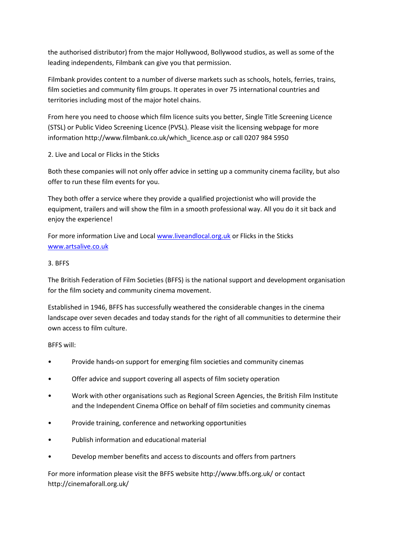the authorised distributor) from the major Hollywood, Bollywood studios, as well as some of the leading independents, Filmbank can give you that permission.

Filmbank provides content to a number of diverse markets such as schools, hotels, ferries, trains, film societies and community film groups. It operates in over 75 international countries and territories including most of the major hotel chains.

From here you need to choose which film licence suits you better, Single Title Screening Licence (STSL) or Public Video Screening Licence (PVSL). Please visit the licensing webpage for more information http://www.filmbank.co.uk/which\_licence.asp or call 0207 984 5950

2. Live and Local or Flicks in the Sticks

Both these companies will not only offer advice in setting up a community cinema facility, but also offer to run these film events for you.

They both offer a service where they provide a qualified projectionist who will provide the equipment, trailers and will show the film in a smooth professional way. All you do it sit back and enjoy the experience!

For more information Live and Local [www.liveandlocal.org.uk](http://www.liveandlocal.org.uk/) or Flicks in the Sticks [www.artsalive.co.uk](http://www.artsalive.co.uk/)

## 3. BFFS

The British Federation of Film Societies (BFFS) is the national support and development organisation for the film society and community cinema movement.

Established in 1946, BFFS has successfully weathered the considerable changes in the cinema landscape over seven decades and today stands for the right of all communities to determine their own access to film culture.

BFFS will:

- Provide hands-on support for emerging film societies and community cinemas
- Offer advice and support covering all aspects of film society operation
- Work with other organisations such as Regional Screen Agencies, the British Film Institute and the Independent Cinema Office on behalf of film societies and community cinemas
- Provide training, conference and networking opportunities
- Publish information and educational material
- Develop member benefits and access to discounts and offers from partners

For more information please visit the BFFS website http://www.bffs.org.uk/ or contact http://cinemaforall.org.uk/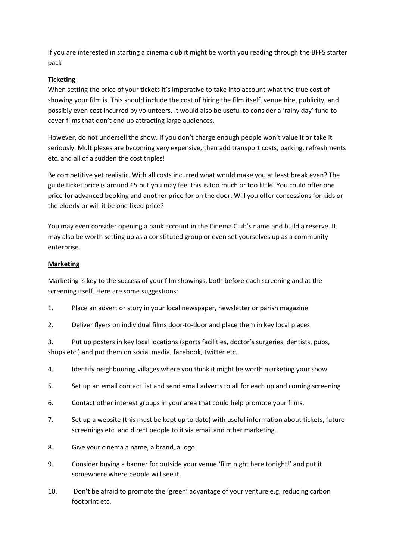If you are interested in starting a cinema club it might be worth you reading through the BFFS starter pack

# **Ticketing**

When setting the price of your tickets it's imperative to take into account what the true cost of showing your film is. This should include the cost of hiring the film itself, venue hire, publicity, and possibly even cost incurred by volunteers. It would also be useful to consider a 'rainy day' fund to cover films that don't end up attracting large audiences.

However, do not undersell the show. If you don't charge enough people won't value it or take it seriously. Multiplexes are becoming very expensive, then add transport costs, parking, refreshments etc. and all of a sudden the cost triples!

Be competitive yet realistic. With all costs incurred what would make you at least break even? The guide ticket price is around £5 but you may feel this is too much or too little. You could offer one price for advanced booking and another price for on the door. Will you offer concessions for kids or the elderly or will it be one fixed price?

You may even consider opening a bank account in the Cinema Club's name and build a reserve. It may also be worth setting up as a constituted group or even set yourselves up as a community enterprise.

## **Marketing**

Marketing is key to the success of your film showings, both before each screening and at the screening itself. Here are some suggestions:

- 1. Place an advert or story in your local newspaper, newsletter or parish magazine
- 2. Deliver flyers on individual films door-to-door and place them in key local places

3. Put up posters in key local locations (sports facilities, doctor's surgeries, dentists, pubs, shops etc.) and put them on social media, facebook, twitter etc.

- 4. Identify neighbouring villages where you think it might be worth marketing your show
- 5. Set up an email contact list and send email adverts to all for each up and coming screening
- 6. Contact other interest groups in your area that could help promote your films.
- 7. Set up a website (this must be kept up to date) with useful information about tickets, future screenings etc. and direct people to it via email and other marketing.
- 8. Give your cinema a name, a brand, a logo.
- 9. Consider buying a banner for outside your venue 'film night here tonight!' and put it somewhere where people will see it.
- 10. Don't be afraid to promote the 'green' advantage of your venture e.g. reducing carbon footprint etc.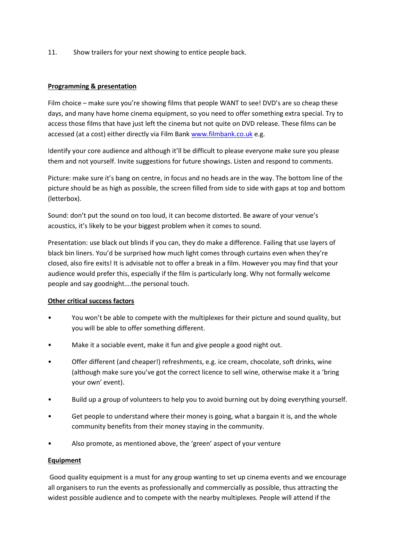11. Show trailers for your next showing to entice people back.

## **Programming & presentation**

Film choice – make sure you're showing films that people WANT to see! DVD's are so cheap these days, and many have home cinema equipment, so you need to offer something extra special. Try to access those films that have just left the cinema but not quite on DVD release. These films can be accessed (at a cost) either directly via Film Ban[k www.filmbank.co.uk](http://www.filmbank.co.uk/) e.g.

Identify your core audience and although it'll be difficult to please everyone make sure you please them and not yourself. Invite suggestions for future showings. Listen and respond to comments.

Picture: make sure it's bang on centre, in focus and no heads are in the way. The bottom line of the picture should be as high as possible, the screen filled from side to side with gaps at top and bottom (letterbox).

Sound: don't put the sound on too loud, it can become distorted. Be aware of your venue's acoustics, it's likely to be your biggest problem when it comes to sound.

Presentation: use black out blinds if you can, they do make a difference. Failing that use layers of black bin liners. You'd be surprised how much light comes through curtains even when they're closed, also fire exits! It is advisable not to offer a break in a film. However you may find that your audience would prefer this, especially if the film is particularly long. Why not formally welcome people and say goodnight….the personal touch.

## **Other critical success factors**

- You won't be able to compete with the multiplexes for their picture and sound quality, but you will be able to offer something different.
- Make it a sociable event, make it fun and give people a good night out.
- Offer different (and cheaper!) refreshments, e.g. ice cream, chocolate, soft drinks, wine (although make sure you've got the correct licence to sell wine, otherwise make it a 'bring your own' event).
- Build up a group of volunteers to help you to avoid burning out by doing everything yourself.
- Get people to understand where their money is going, what a bargain it is, and the whole community benefits from their money staying in the community.
- Also promote, as mentioned above, the 'green' aspect of your venture

#### **Equipment**

Good quality equipment is a must for any group wanting to set up cinema events and we encourage all organisers to run the events as professionally and commercially as possible, thus attracting the widest possible audience and to compete with the nearby multiplexes. People will attend if the